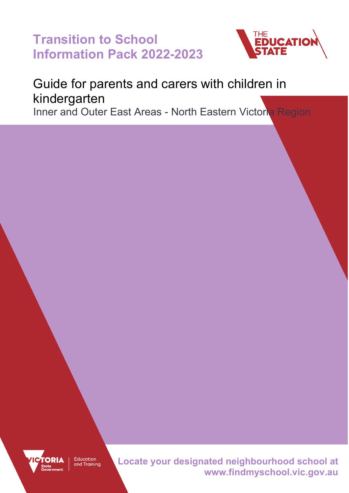**Transition to School Information Pack 2022-2023**



## Guide for parents and carers with children in kindergarten

Inner and Outer East Areas - North Eastern Victoria Region



Education and Training **Locate your designated neighbourhood school at www.findmyschool.vic.gov.au**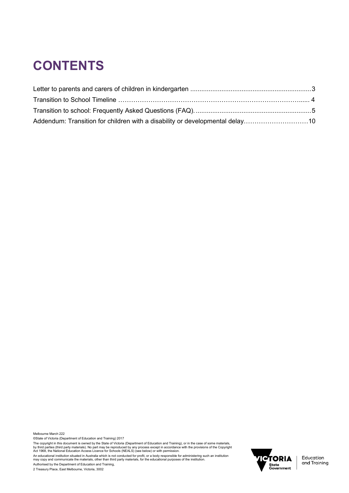# **CONTENTS**

| Addendum: Transition for children with a disability or developmental delay10 |  |
|------------------------------------------------------------------------------|--|

Melbourne March 222

©State of Victoria (Department of Education and Training) 2017

The copyright in this document is owned by the State of Victoria (Department of Education and Training), or in the case of some materials,<br>by third parties (third party materials). No part may be reproduced by any process

An educational institution situated in Australia which is not conducted for profit, or a body responsible for administering such an institution<br>may copy and communicate the materials, other than third party materials, for

Authorised by the Department of Education and Training,

2 Treasury Place, East Melbourne, Victoria, 3002

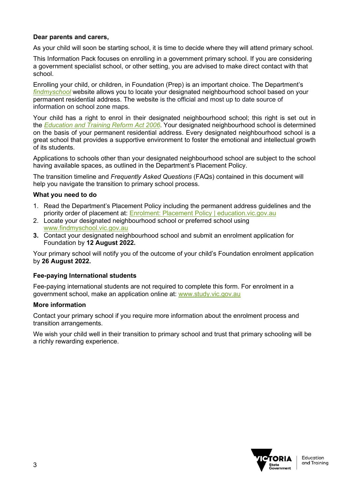### **Dear parents and carers,**

As your child will soon be starting school, it is time to decide where they will attend primary school.

This Information Pack focuses on enrolling in a government primary school. If you are considering a government specialist school, or other setting, you are advised to make direct contact with that school.

Enrolling your child, or children, in Foundation (Prep) is an important choice. The Department's *[findmyschool](https://www.findmyschool.vic.gov.au/)* website allows you to locate your designated neighbourhood school based on your permanent residential address. The website is the official and most up to date source of information on school zone maps.

Your child has a right to enrol in their designated neighbourhood school; this right is set out in the *[Education and Training Reform Act 2006](https://www.education.vic.gov.au/about/department/legislation/Pages/act2006.aspx)*. Your designated neighbourhood school is determined on the basis of your permanent residential address. Every designated neighbourhood school is a great school that provides a supportive environment to foster the emotional and intellectual growth of its students.

Applications to schools other than your designated neighbourhood school are subject to the school having available spaces, as outlined in the Department's Placement Policy.

The transition timeline and *Frequently Asked Questions* (FAQs) contained in this document will help you navigate the transition to primary school process.

### **What you need to do**

- 1. Read the Department's Placement Policy including the permanent address guidelines and the priority order of placement at: [Enrolment: Placement Policy | education.vic.gov.au](https://www2.education.vic.gov.au/pal/enrolment/guidance/placement-policy)
- 2. Locate your designated neighbourhood school or preferred school using [www.findmyschool.vic.gov.au](http://www.findmyschool.vic.gov.au/)
- **3.** Contact your designated neighbourhood school and submit an enrolment application for Foundation by **12 August 2022.**

Your primary school will notify you of the outcome of your child's Foundation enrolment application by **26 August 2022.**

### **Fee-paying International students**

Fee-paying international students are not required to complete this form. For enrolment in a government school, make an application online at: [www.study.vic.gov.au](http://www.study.vic.gov.au/)

### **More information**

Contact your primary school if you require more information about the enrolment process and transition arrangements.

We wish your child well in their transition to primary school and trust that primary schooling will be a richly rewarding experience.

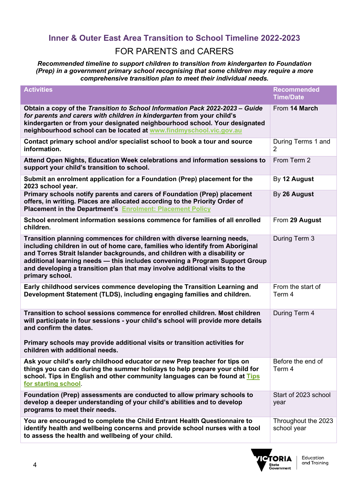## **Inner & Outer East Area Transition to School Timeline 2022-2023** FOR PARENTS and CARERS

*Recommended timeline to support children to transition from kindergarten to Foundation (Prep) in a government primary school recognising that some children may require a more comprehensive transition plan to meet their individual needs.*

| <b>Activities</b>                                                                                                                                                                                                                                                                                                                                                                                                     | <b>Recommended</b><br><b>Time/Date</b> |
|-----------------------------------------------------------------------------------------------------------------------------------------------------------------------------------------------------------------------------------------------------------------------------------------------------------------------------------------------------------------------------------------------------------------------|----------------------------------------|
| Obtain a copy of the Transition to School Information Pack 2022-2023 – Guide<br>for parents and carers with children in kindergarten from your child's<br>kindergarten or from your designated neighbourhood school. Your designated<br>neighbourhood school can be located at www.findmyschool.vic.gov.au                                                                                                            | From 14 March                          |
| Contact primary school and/or specialist school to book a tour and source<br>information.                                                                                                                                                                                                                                                                                                                             | During Terms 1 and<br>$\overline{2}$   |
| Attend Open Nights, Education Week celebrations and information sessions to<br>support your child's transition to school.                                                                                                                                                                                                                                                                                             | From Term 2                            |
| Submit an enrolment application for a Foundation (Prep) placement for the<br>2023 school year.                                                                                                                                                                                                                                                                                                                        | By 12 August                           |
| Primary schools notify parents and carers of Foundation (Prep) placement<br>offers, in writing. Places are allocated according to the Priority Order of<br>Placement in the Department's Enrolment: Placement Policy                                                                                                                                                                                                  | By 26 August                           |
| School enrolment information sessions commence for families of all enrolled<br>children.                                                                                                                                                                                                                                                                                                                              | From 29 August                         |
| Transition planning commences for children with diverse learning needs,<br>including children in out of home care, families who identify from Aboriginal<br>and Torres Strait Islander backgrounds, and children with a disability or<br>additional learning needs - this includes convening a Program Support Group<br>and developing a transition plan that may involve additional visits to the<br>primary school. | During Term 3                          |
| Early childhood services commence developing the Transition Learning and<br>Development Statement (TLDS), including engaging families and children.                                                                                                                                                                                                                                                                   | From the start of<br>Term 4            |
| Transition to school sessions commence for enrolled children. Most children<br>will participate in four sessions - your child's school will provide more details<br>and confirm the dates.<br>Primary schools may provide additional visits or transition activities for<br>children with additional needs.                                                                                                           | During Term 4                          |
| Ask your child's early childhood educator or new Prep teacher for tips on                                                                                                                                                                                                                                                                                                                                             | Before the end of                      |
| things you can do during the summer holidays to help prepare your child for<br>school. Tips in English and other community languages can be found at Tips<br>for starting school.                                                                                                                                                                                                                                     | Term 4                                 |
| Foundation (Prep) assessments are conducted to allow primary schools to<br>develop a deeper understanding of your child's abilities and to develop<br>programs to meet their needs.                                                                                                                                                                                                                                   | Start of 2023 school<br>year           |
| You are encouraged to complete the Child Entrant Health Questionnaire to<br>identify health and wellbeing concerns and provide school nurses with a tool<br>to assess the health and wellbeing of your child.                                                                                                                                                                                                         | Throughout the 2023<br>school year     |

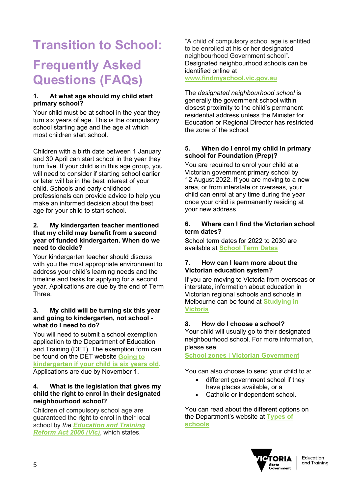# **Transition to School: Frequently Asked Questions (FAQs)**

### **1. At what age should my child start primary school?**

Your child must be at school in the year they turn six years of age. This is the compulsory school starting age and the age at which most children start school.

Children with a birth date between 1 January and 30 April can start school in the year they turn five. If your child is in this age group, you will need to consider if starting school earlier or later will be in the best interest of your child. Schools and early childhood professionals can provide advice to help you make an informed decision about the best age for your child to start school.

### **2. My kindergarten teacher mentioned that my child may benefit from a second year of funded kindergarten. When do we need to decide?**

Your kindergarten teacher should discuss with you the most appropriate environment to address your child's learning needs and the timeline and tasks for applying for a second year. Applications are due by the end of Term Three.

### **3. My child will be turning six this year and going to kindergarten, not school what do I need to do?**

You will need to submit a school exemption application to the Department of Education and Training (DET). The exemption form can be found on the DET website **[Going to](https://www.education.vic.gov.au/parents/child-care-kindergarten/Pages/kindergarten-school-age.aspx)  [kindergarten if your child is six years old.](https://www.education.vic.gov.au/parents/child-care-kindergarten/Pages/kindergarten-school-age.aspx)** Applications are due by November 1.

### **4. What is the legislation that gives my child the right to enrol in their designated neighbourhood school?**

Children of compulsory school age are guaranteed the right to enrol in their local school by *the [Education and Training](http://www.legislation.vic.gov.au/Domino/Web_Notes/LDMS/PubStatbook.nsf/f932b66241ecf1b7ca256e92000e23be/575C47EA02890DA4CA25717000217213/$FILE/06-024a.pdf)  [Reform Act 2006](http://www.legislation.vic.gov.au/Domino/Web_Notes/LDMS/PubStatbook.nsf/f932b66241ecf1b7ca256e92000e23be/575C47EA02890DA4CA25717000217213/$FILE/06-024a.pdf) (Vic)*, which states,

"A child of compulsory school age is entitled to be enrolled at his or her designated neighbourhood Government school". Designated neighbourhood schools can be identified online at

**[www.findmyschool.vic.gov.au](http://www.findmyschool.vic.gov.au/)**

The *designated neighbourhood school* is generally the government school within closest proximity to the child's permanent residential address unless the Minister for Education or Regional Director has restricted the zone of the school.

### **5. When do I enrol my child in primary school for Foundation (Prep)?**

You are required to enrol your child at a Victorian government primary school by 12 August 2022. If you are moving to a new area, or from interstate or overseas, your child can enrol at any time during the year once your child is permanently residing at your new address.

### **6. Where can I find the Victorian school term dates?**

School term dates for 2022 to 2030 are available at **[School Term Dates](https://www.education.vic.gov.au/about/department/Pages/datesterm.aspx)**

### **7. How can I learn more about the Victorian education system?**

If you are moving to Victoria from overseas or interstate, information about education in Victorian regional schools and schools in Melbourne can be found at **[Studying in](https://www.study.vic.gov.au/en/study-in-victoria/Pages/default.aspx)  [Victoria](https://www.study.vic.gov.au/en/study-in-victoria/Pages/default.aspx)**

### **8. How do I choose a school?**

Your child will usually go to their designated neighbourhood school. For more information, please see:

**[School zones | Victorian Government](https://www.vic.gov.au/school-zones)** 

You can also choose to send your child to a:

- different government school if they have places available, or a
- Catholic or independent school.

You can read about the different options on the Department's website at **[Types of](https://www.vic.gov.au/types-schools)  [schools](https://www.vic.gov.au/types-schools)**

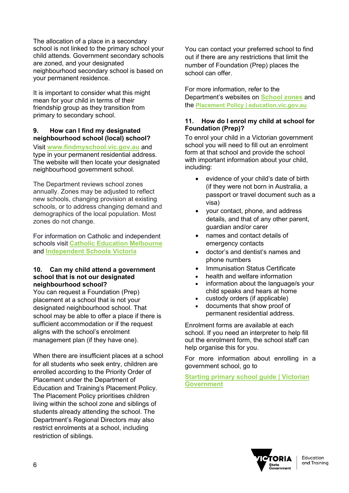The allocation of a place in a secondary school is not linked to the primary school your child attends. Government secondary schools are zoned, and your designated neighbourhood secondary school is based on your permanent residence.

It is important to consider what this might mean for your child in terms of their friendship group as they transition from primary to secondary school.

### **9. How can I find my designated neighbourhood school (local) school?**

Visit **[www.findmyschool.vic.gov.au](http://www.findmyschool.vic.gov.au/)** and type in your permanent residential address. The website will then locate your designated neighbourhood government school.

The Department reviews school zones annually. Zones may be adjusted to reflect new schools, changing provision at existing schools, or to address changing demand and demographics of the local population. Most zones do not change.

For information on Catholic and independent schools visit **Catholic [Education Melbourne](https://www.cecv.catholic.edu.au/School-Directory-Search)** and **[Independent Schools Victoria](https://is.vic.edu.au/independent-schools/)**

### **10. Can my child attend a government school that is not our designated neighbourhood school?**

You can request a Foundation (Prep) placement at a school that is not your designated neighbourhood school. That school may be able to offer a place if there is sufficient accommodation or if the request aligns with the school's enrolment management plan (if they have one).

When there are insufficient places at a school for all students who seek entry, children are enrolled according to the Priority Order of Placement under the Department of Education and Training's Placement Policy. The Placement Policy prioritises children living within the school zone and siblings of students already attending the school. The Department's Regional Directors may also restrict enrolments at a school, including restriction of siblings.

You can contact your preferred school to find out if there are any restrictions that limit the number of Foundation (Prep) places the school can offer.

For more information, refer to the Department's websites on **[School zones](https://www.vic.gov.au/school-zones)** and the **Placement Policy [| education.vic.gov.au](https://www2.education.vic.gov.au/pal/enrolment/guidance/placement-policy)**

### **11. How do I enrol my child at school for Foundation (Prep)?**

To enrol your child in a Victorian government school you will need to fill out an enrolment form at that school and provide the school with important information about your child, including:

- evidence of your child's date of birth (if they were not born in Australia, a passport or travel document such as a visa)
- your contact, phone, and address details, and that of any other parent, guardian and/or carer
- names and contact details of emergency contacts
- doctor's and dentist's names and phone numbers
- Immunisation Status Certificate
- health and welfare information
- information about the language/s your child speaks and hears at home
- custody orders (if applicable)
- documents that show proof of permanent residential address.

Enrolment forms are available at each school. If you need an interpreter to help fill out the enrolment form, the school staff can help organise this for you.

For more information about enrolling in a government school, go to

### **[Starting primary school guide | Victorian](https://www.vic.gov.au/starting-primary-school-guide)  [Government](https://www.vic.gov.au/starting-primary-school-guide)**

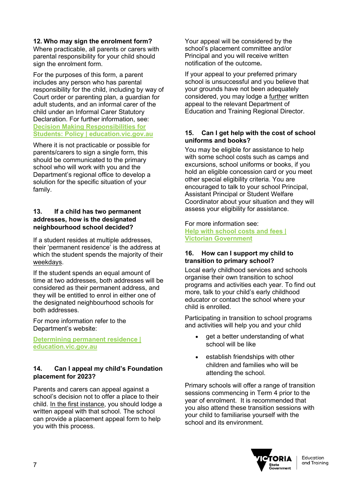### **12. Who may sign the enrolment form?**

Where practicable, all parents or carers with parental responsibility for your child should sign the enrolment form.

For the purposes of this form, a parent includes any person who has parental responsibility for the child, including by way of Court order or parenting plan, a guardian for adult students, and an informal carer of the child under an Informal Carer Statutory Declaration. For further information, see: **[Decision Making Responsibilities for](https://www2.education.vic.gov.au/pal/decision-making-responsibilities-students/policy)  [Students: Policy | education.vic.gov.au](https://www2.education.vic.gov.au/pal/decision-making-responsibilities-students/policy)**

Where it is not practicable or possible for parents/carers to sign a single form, this should be communicated to the primary school who will work with you and the Department's regional office to develop a solution for the specific situation of your family.

### **13. If a child has two permanent addresses, how is the designated neighbourhood school decided?**

If a student resides at multiple addresses, their 'permanent residence' is the address at which the student spends the majority of their weekdays.

If the student spends an equal amount of time at two addresses, both addresses will be considered as their permanent address, and they will be entitled to enrol in either one of the designated neighbourhood schools for both addresses.

For more information refer to the Department's website:

**[Determining permanent residence |](https://www2.education.vic.gov.au/pal/enrolment/guidance/determining-permanent-residence)  [education.vic.gov.au](https://www2.education.vic.gov.au/pal/enrolment/guidance/determining-permanent-residence)**

### **14. Can I appeal my child's Foundation placement for 2023?**

Parents and carers can appeal against a school's decision not to offer a place to their child. In the first instance, you should lodge a written appeal with that school. The school can provide a placement appeal form to help you with this process.

Your appeal will be considered by the school's placement committee and/or Principal and you will receive written notification of the outcome**.** 

If your appeal to your preferred primary school is unsuccessful and you believe that your grounds have not been adequately considered, you may lodge a further written appeal to the relevant Department of Education and Training Regional Director.

### **15. Can I get help with the cost of school uniforms and books?**

You may be eligible for assistance to help with some school costs such as camps and excursions, school uniforms or books, if you hold an eligible concession card or you meet other special eligibility criteria. You are encouraged to talk to your school Principal, Assistant Principal or Student Welfare Coordinator about your situation and they will assess your eligibility for assistance.

For more information see:

**[Help with school costs and fees |](https://www.vic.gov.au/help-school-costs-and-fees)  [Victorian Government](https://www.vic.gov.au/help-school-costs-and-fees)**

### **16. How can I support my child to transition to primary school?**

Local early childhood services and schools organise their own transition to school programs and activities each year. To find out more, talk to your child's early childhood educator or contact the school where your child is enrolled.

Participating in transition to school programs and activities will help you and your child

- get a better understanding of what school will be like
- establish friendships with other children and families who will be attending the school.

Primary schools will offer a range of transition sessions commencing in Term 4 prior to the year of enrolment. It is recommended that you also attend these transition sessions with your child to familiarise yourself with the school and its environment.

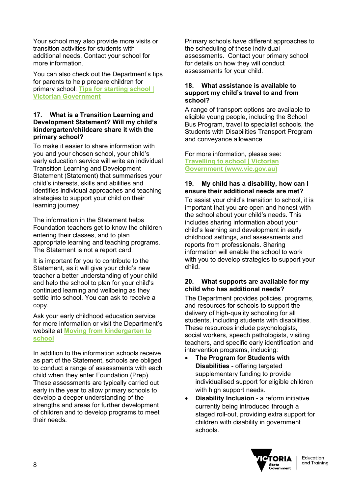Your school may also provide more visits or transition activities for students with additional needs. Contact your school for more information.

You can also check out the Department's tips for parents to help prepare children for primary school: **[Tips for starting school |](https://www.vic.gov.au/tips-starting-school)  [Victorian Government](https://www.vic.gov.au/tips-starting-school)**

### **17. What is a Transition Learning and Development Statement? Will my child's kindergarten/childcare share it with the primary school?**

To make it easier to share information with you and your chosen school, your child's early education service will write an individual Transition Learning and Development Statement (Statement) that summarises your child's interests, skills and abilities and identifies individual approaches and teaching strategies to support your child on their learning journey.

The information in the Statement helps Foundation teachers get to know the children entering their classes, and to plan appropriate learning and teaching programs. The Statement is not a report card.

It is important for you to contribute to the Statement, as it will give your child's new teacher a better understanding of your child and help the school to plan for your child's continued learning and wellbeing as they settle into school. You can ask to receive a copy.

Ask your early childhood education service for more information or visit the Department's website at **[Moving from kindergarten to](https://www.education.vic.gov.au/parents/learning/Pages/moving-to-school.aspx)  [school](https://www.education.vic.gov.au/parents/learning/Pages/moving-to-school.aspx)** 

In addition to the information schools receive as part of the Statement, schools are obliged to conduct a range of assessments with each child when they enter Foundation (Prep). These assessments are typically carried out early in the year to allow primary schools to develop a deeper understanding of the strengths and areas for further development of children and to develop programs to meet their needs.

Primary schools have different approaches to the scheduling of these individual assessments. Contact your primary school for details on how they will conduct assessments for your child.

### **18. What assistance is available to support my child's travel to and from school?**

A range of transport options are available to eligible young people, including the School Bus Program, travel to specialist schools, the Students with Disabilities Transport Program and conveyance allowance.

For more information, please see: **[Travelling to school | Victorian](https://www.vic.gov.au/travelling-school)  [Government \(www.vic.gov.au\)](https://www.vic.gov.au/travelling-school)**

### **19. My child has a disability, how can I ensure their additional needs are met?**

To assist your child's transition to school, it is important that you are open and honest with the school about your child's needs. This includes sharing information about your child's learning and development in early childhood settings, and assessments and reports from professionals. Sharing information will enable the school to work with you to develop strategies to support your child.

### **20. What supports are available for my child who has additional needs?**

The Department provides policies, programs, and resources for schools to support the delivery of high-quality schooling for all students, including students with disabilities. These resources include psychologists, social workers, speech pathologists, visiting teachers, and specific early identification and intervention programs, including:

- **The Program for Students with Disabilities** - offering targeted supplementary funding to provide individualised support for eligible children with high support needs.
- **Disability Inclusion** a reform initiative currently being introduced through a staged roll-out, providing extra support for children with disability in government schools.

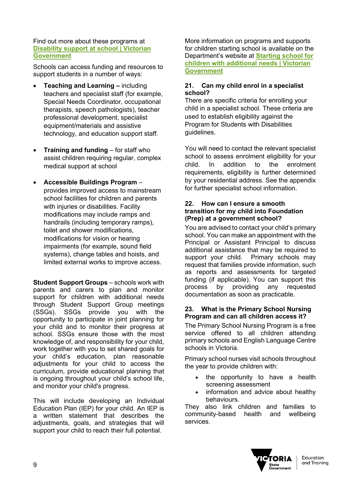### Find out more about these programs at **[Disability support at school | Victorian](https://www.vic.gov.au/disability-support-school)  [Government](https://www.vic.gov.au/disability-support-school)**

Schools can access funding and resources to support students in a number of ways:

- **Teaching and Learning –** including teachers and specialist staff (for example, Special Needs Coordinator, occupational therapists, speech pathologists), teacher professional development, specialist equipment/materials and assistive technology, and education support staff.
- **Training and funding** for staff who assist children requiring regular, complex medical support at school
- **Accessible Buildings Program** provides improved access to mainstream school facilities for children and parents with injuries or disabilities. Facility modifications may include ramps and handrails (including temporary ramps), toilet and shower modifications, modifications for vision or hearing impairments (for example, sound field systems), change tables and hoists, and limited external works to improve access.

**Student Support Groups** – schools work with parents and carers to plan and monitor support for children with additional needs through Student Support Group meetings (SSGs). SSGs provide you with the opportunity to participate in joint planning for your child and to monitor their progress at school. SSGs ensure those with the most knowledge of, and responsibility for your child, work together with you to set shared goals for your child's education, plan reasonable adjustments for your child to access the curriculum, provide educational planning that is ongoing throughout your child's school life, and monitor your child's progress.

This will include developing an Individual Education Plan (IEP) for your child. An IEP is a written statement that describes the adjustments, goals, and strategies that will support your child to reach their full potential.

More information on programs and supports for children starting school is available on the Department's website at **[Starting school for](https://www.vic.gov.au/starting-school-children-additional-needs)  [children with additional needs | Victorian](https://www.vic.gov.au/starting-school-children-additional-needs)  [Government](https://www.vic.gov.au/starting-school-children-additional-needs)**

### **21. Can my child enrol in a specialist school?**

There are specific criteria for enrolling your child in a specialist school. These criteria are used to establish eligibility against the Program for Students with Disabilities guidelines.

You will need to contact the relevant specialist school to assess enrolment eligibility for your child. In addition to the enrolment requirements, eligibility is further determined by your residential address. See the appendix for further specialist school information.

### **22. How can I ensure a smooth transition for my child into Foundation (Prep) at a government school?**

You are advised to contact your child's primary school. You can make an appointment with the Principal or Assistant Principal to discuss additional assistance that may be required to<br>support your child. Primary schools may Primary schools may request that families provide information, such as reports and assessments for targeted funding (if applicable). You can support this process by providing any requested documentation as soon as practicable.

### **23. What is the Primary School Nursing Program and can all children access it?**

The Primary School Nursing Program is a free service offered to all children attending primary schools and English Language Centre schools in Victoria.

Primary school nurses visit schools throughout the year to provide children with:

- the opportunity to have a health screening assessment
- information and advice about healthy behaviours.

They also link children and families to community-based health and wellbeing services.

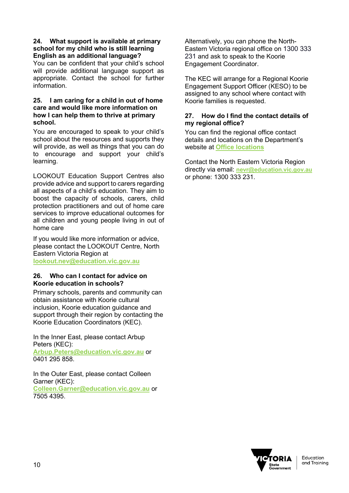### **24. What support is available at primary school for my child who is still learning English as an additional language?**

You can be confident that your child's school will provide additional language support as appropriate. Contact the school for further information.

### **25. I am caring for a child in out of home care and would like more information on how I can help them to thrive at primary school.**

You are encouraged to speak to your child's school about the resources and supports they will provide, as well as things that you can do to encourage and support your child's learning.

LOOKOUT Education Support Centres also provide advice and support to carers regarding all aspects of a child's education. They aim to boost the capacity of schools, carers, child protection practitioners and out of home care services to improve educational outcomes for all children and young people living in out of home care

If you would like more information or advice, please contact the LOOKOUT Centre, North Eastern Victoria Region at **[lookout.nev@education.vic.gov.au](mailto:lookout.nev@education.vic.gov.au)**

### **26. Who can I contact for advice on Koorie education in schools?**

Primary schools, parents and community can obtain assistance with Koorie cultural inclusion, Koorie education guidance and support through their region by contacting the Koorie Education Coordinators (KEC).

In the Inner East, please contact Arbup Peters (KEC): **[Arbup.Peters@education.vic.gov.au](mailto:Arbup.Peters@education.vic.gov.au)** or 0401 295 858.

In the Outer East, please contact Colleen Garner (KEC): **[Colleen.Garner@education.vic.gov.au](mailto:Colleen.Garner@education.vic.gov.au)** or 7505 4395.

Alternatively, you can phone the North-Eastern Victoria regional office on 1300 333 231 and ask to speak to the Koorie Engagement Coordinator.

The KEC will arrange for a Regional Koorie Engagement Support Officer (KESO) to be assigned to any school where contact with Koorie families is requested.

### **27. How do I find the contact details of my regional office?**

You can find the regional office contact details and locations on the Department's website at **[Office locations](https://www.education.vic.gov.au/about/contact/Pages/regions.aspx)**

Contact the North Eastern Victoria Region directly via email: **[nevr@education.vic.gov.au](mailto:nevr@education.vic.gov.au)** or phone: 1300 333 231.

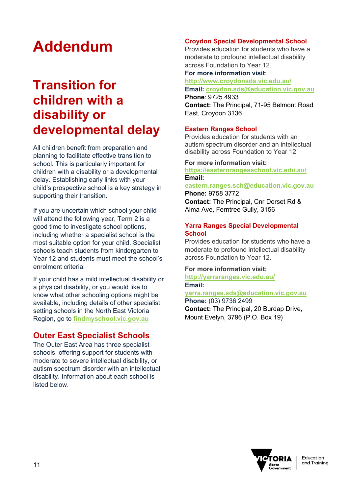# **Addendum**

# **Transition for children with a disability or developmental delay**

All children benefit from preparation and planning to facilitate effective transition to school. This is particularly important for children with a disability or a developmental delay. Establishing early links with your child's prospective school is a key strategy in supporting their transition.

If you are uncertain which school your child will attend the following year, Term 2 is a good time to investigate school options, including whether a specialist school is the most suitable option for your child. Specialist schools teach students from kindergarten to Year 12 and students must meet the school's enrolment criteria.

If your child has a mild intellectual disability or a physical disability, or you would like to know what other schooling options might be available, including details of other specialist setting schools in the North East Victoria Region, go to **[findmyschool.vic.gov.au](https://www.findmyschool.vic.gov.au/)**

### **Outer East Specialist Schools**

The Outer East Area has three specialist schools, offering support for students with moderate to severe intellectual disability, or autism spectrum disorder with an intellectual disability. Information about each school is listed below.

### **Croydon Special Developmental School**

Provides education for students who have a moderate to profound intellectual disability across Foundation to Year 12.

### **For more information visit**:

**<http://www.croydonsds.vic.edu.au/> Email: [croydon.sds@education.vic.gov.au](mailto:croydon.sds@education.vic.gov.au)**

**Phone**: 9725 4933 **Contact:** The Principal, 71-95 Belmont Road

East, Croydon 3136

### **Eastern Ranges School**

Provides education for students with an autism spectrum disorder and an intellectual disability across Foundation to Year 12.

### **For more information visit:**

**<https://easternrangesschool.vic.edu.au/> Email:**

**[eastern.ranges.sch@education.vic.gov.au](mailto:eastern.ranges.sch@education.vic.gov.au) Phone:** 9758 3772

**Contact:** The Principal, Cnr Dorset Rd & Alma Ave, Ferntree Gully, 3156

### **Yarra Ranges Special Developmental School**

Provides education for students who have a moderate to profound intellectual disability across Foundation to Year 12.

### **For more information visit:**

**<http://yarraranges.vic.edu.au/> Email:** 

**[yarra.ranges.sds@education.vic.gov.au](mailto:yarra.ranges.sds@education.vic.gov.au) Phone:** (03) 9736 2499 **Contact:** The Principal, 20 Burdap Drive, Mount Evelyn, 3796 (P.O. Box 19)

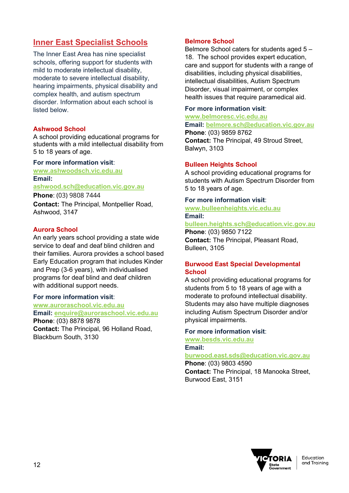## **Inner East Specialist Schools**

The Inner East Area has nine specialist schools, offering support for students with mild to moderate intellectual disability, moderate to severe intellectual disability, hearing impairments, physical disability and complex health, and autism spectrum disorder. Information about each school is listed below.

### **Ashwood School**

A school providing educational programs for students with a mild intellectual disability from 5 to 18 years of age.

### **For more information visit**:

**[www.ashwoodsch.vic.edu.au](http://www.ashwoodsch.vic.edu.au/) Email: [ashwood.sch@education.vic.gov.au](mailto:ashwood.sch@education.vic.gov.au)**

**Phone**: (03) 9808 7444 **Contact:** The Principal, Montpellier Road, Ashwood, 3147

### **Aurora School**

An early years school providing a state wide service to deaf and deaf blind children and their families. Aurora provides a school based Early Education program that includes Kinder and Prep (3-6 years), with individualised programs for deaf blind and deaf children with additional support needs.

### **For more information visit**:

**[www.auroraschool.vic.edu.au](http://www.auroraschool.vic.edu.au/) Email: [enquire@auroraschool.vic.edu.au](mailto:enquire@auroraschool.vic.edu.au)**

**Phone**: (03) 8878 9878 **Contact:** The Principal, 96 Holland Road, Blackburn South, 3130

### **Belmore School**

Belmore School caters for students aged 5 – 18. The school provides expert education, care and support for students with a range of disabilities, including physical disabilities, intellectual disabilities, Autism Spectrum Disorder, visual impairment, or complex health issues that require paramedical aid.

### **For more information visit**:

### **[www.belmoresc.vic.edu.au](http://www.belmoresc.vic.edu.au/)**

### **Email: [belmore.sch@education.vic.gov.au](mailto:belmore.sch@education.vic.gov.au)**

**Phone**: (03) 9859 8762 **Contact:** The Principal, 49 Stroud Street, Balwyn, 3103

### **Bulleen Heights School**

A school providing educational programs for students with Autism Spectrum Disorder from 5 to 18 years of age.

### **For more information visit**:

**[www.bulleenheights.vic.edu.au](http://www.bulleenheights.vic.edu.au/) Email:**

**[bulleen.heights.sch@education.vic.gov.au](mailto:bulleen.heights.sch@education.vic.gov.au)**

**Phone**: (03) 9850 7122 **Contact:** The Principal, Pleasant Road, Bulleen, 3105

### **Burwood East Special Developmental School**

A school providing educational programs for students from 5 to 18 years of age with a moderate to profound intellectual disability. Students may also have multiple diagnoses including Autism Spectrum Disorder and/or physical impairments.

### **For more information visit**:

**[www.besds.vic.edu.au](http://www.besds.vic.edu.au/) Email:**

## **[burwood.east.sds@education.vic.gov.au](mailto:burwood.east.sds@education.vic.gov.au)**

**Phone**: (03) 9803 4590 **Contact:** The Principal, 18 Manooka Street, Burwood East, 3151